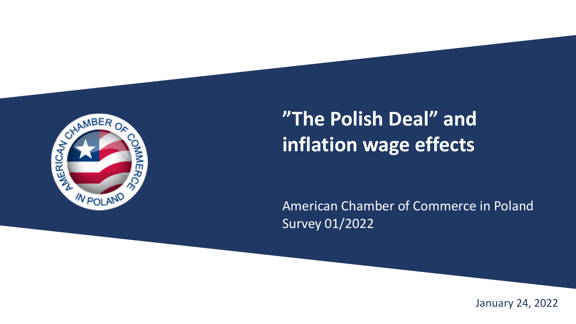

### **"The Polish Deal" and inflation wage effects**

American Chamber of Commerce in Poland Survey 01/2022

January 24, 2022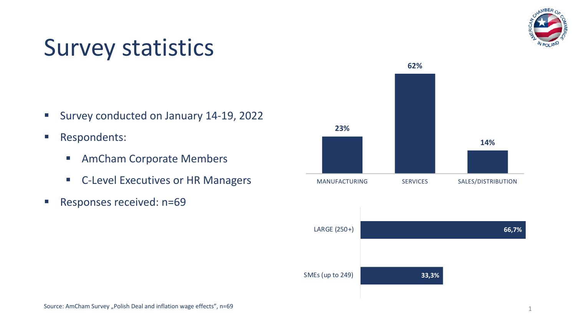

## Survey statistics

- Survey conducted on January 14-19, 2022
- Respondents:
	- AmCham Corporate Members
	- C-Level Executives or HR Managers
- **Responses received: n=69**

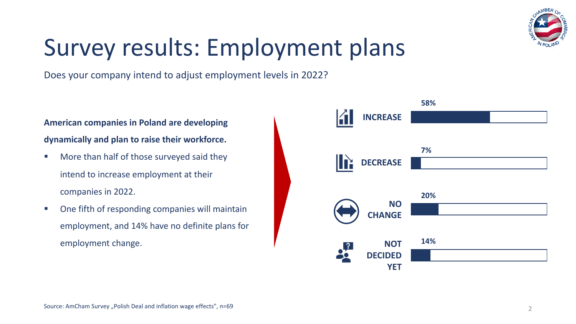

## Survey results: Employment plans

Does your company intend to adjust employment levels in 2022?

#### **American companies in Poland are developing dynamically and plan to raise their workforce.**

- More than half of those surveyed said they intend to increase employment at their companies in 2022.
- One fifth of responding companies will maintain employment, and 14% have no definite plans for employment change.

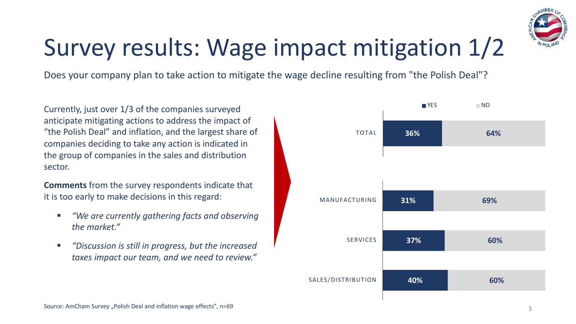

# Survey results: Wage impact mitigation 1/2

Does your company plan to take action to mitigate the wage decline resulting from "the Polish Deal"?

Currently, just over 1/3 of the companies surveyed anticipate mitigating actions to address the impact of "the Polish Deal" and inflation, and the largest share of companies deciding to take any action is indicated in the group of companies in the sales and distribution sector.

**Comments** from the survey respondents indicate that it is too early to make decisions in this regard:

- *"We are currently gathering facts and observing the market."*
- § *"Discussion is still in progress, but the increased taxes impact our team, and we need to review."*

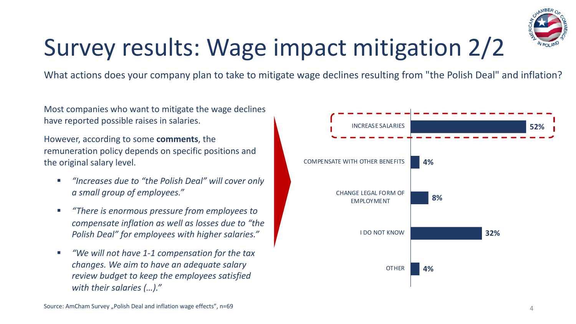

# Survey results: Wage impact mitigation 2/2

What actions does your company plan to take to mitigate wage declines resulting from "the Polish Deal" and inflation?

Most companies who want to mitigate the wage declines have reported possible raises in salaries.

However, according to some **comments**, the remuneration policy depends on specific positions and the original salary level.

- § *"Increases due to "the Polish Deal" will cover only a small group of employees."*
- § *"There is enormous pressure from employees to compensate inflation as well as losses due to "the Polish Deal" for employees with higher salaries."*
- *"We will not have 1-1 compensation for the tax changes. We aim to have an adequate salary review budget to keep the employees satisfied with their salaries (…)."*

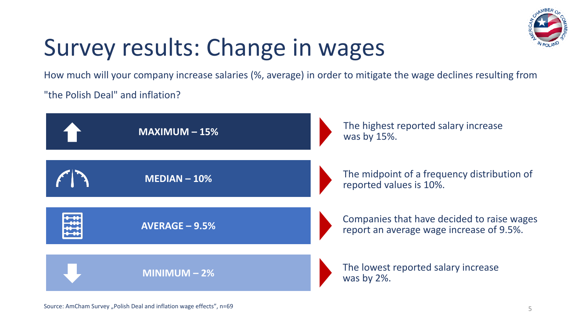

# Survey results: Change in wages

How much will your company increase salaries (%, average) in order to mitigate the wage declines resulting from

"the Polish Deal" and inflation?

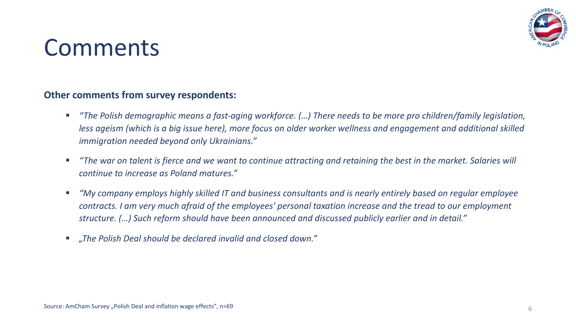

### Comments

#### **Other comments from survey respondents:**

- § *"The Polish demographic means a fast-aging workforce. (…) There needs to be more pro children/family legislation, less ageism (which is a big issue here), more focus on older worker wellness and engagement and additional skilled immigration needed beyond only Ukrainians."*
- *"The war on talent is fierce and we want to continue attracting and retaining the best in the market. Salaries will continue to increase as Poland matures."*
- § *"My company employs highly skilled IT and business consultants and is nearly entirely based on regular employee contracts. I am very much afraid of the employees' personal taxation increase and the tread to our employment structure. (…) Such reform should have been announced and discussed publicly earlier and in detail."*
- § *"The Polish Deal should be declared invalid and closed down."*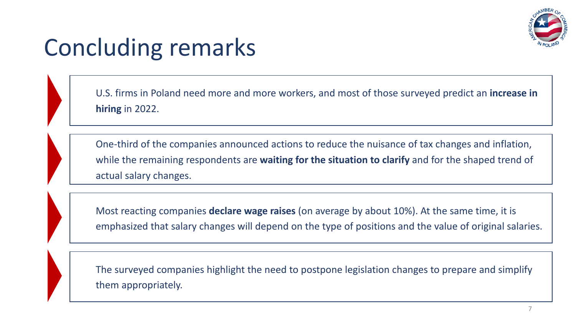

## Concluding remarks

U.S. firms in Poland need more and more workers, and most of those surveyed predict an **increase in hiring** in 2022.

One-third of the companies announced actions to reduce the nuisance of tax changes and inflation, while the remaining respondents are **waiting for the situation to clarify** and for the shaped trend of actual salary changes.

Most reacting companies **declare wage raises** (on average by about 10%). At the same time, it is emphasized that salary changes will depend on the type of positions and the value of original salaries.

The surveyed companies highlight the need to postpone legislation changes to prepare and simplify them appropriately.

**2%**